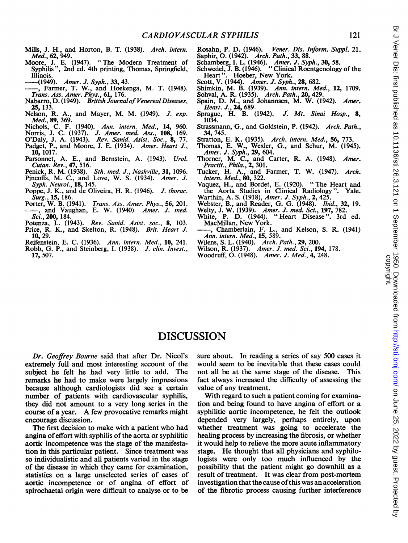- Mills, J. H., and Horton, B. T. (1938). Arch. intern. Med., 62, 949.
- Moore, J. E. (1947). " The Modern Treatment of Syphilis ", 2nd ed. 4th printing, Thomas, Springfield, Illinois.
- (1949). Amer. J. Syph., 33, 43.
- Farmer, T. W., and Hoekenga, M. T. (1948). Trans. Ass. Amer. Phys., 61, 176.
- Nabarro, D. (1949). British Journal of Venereal Diseases, 25, 133.
- Nelson, R. A., and Mayer, M. M. (1949). *J. exp.* Med., 89, 369.
- 
- 
- Nichols, C. F. (1940). Ann. intern. Med., 14, 960. Norris, J. C. (1937). J. Amer. med. Ass., 108, 169. O'Daly, J. A. (1943). Rev. Sanid. Asist. Soc., 8, 77.
- Padget, P., and Moore, J. E. (1934). Amer. Heart J., 10, 1017.
- Parsonnet, A. E., and Bernstein, A. (1943). *Urol.*<br>Cutan. Rev., 47, 516.
- Penick, R. M. (1938). Sth. med. J., Nashville, 31, 1096.
- Pincoffs, M. C., and Love, W. S. (1934). *Amer. J.*<br>Syph. Neurol., **18**, 145.
- Poppe, J. K., and de Oliveira, H. R. (1946). J. thorac.
- Surg., 15, 186.<br>Porter, W. B. (1941). Trans. Ass. Amer. Phys., 56, 201.<br>——, and Vaughan, E. W. (1940) Amer. J. med. Sci., 200, 184.
- Potenza, L. (1943). Rev. Sanid. Asist. soc., 8, 103. Price, R. K., and Skelton, R. (1948). Brit. Heart J. 10, 29.
- Reifenstein, E. C. (1936). Ann. intern. Med., 10, 241.
- Robb, G. P., and Steinberg, I. (1938). J. clin. Invest., 17, 507.
- Rosahn, P. D. (1946). Vener. Dis. Inform. Suppl. 21. Saphir, O. (1942). Arch. Path., 33, 88.
- Schamberg, I. L. (1946). Amer. J. Syph., 30, 58.
- Schwedel, J. B. (1946). "Clinical Roentgenology of the<br>Heart". Hoeber, New York.
- 
- Scott, V. (1944). *Amer. J. Syph.*, 28, 682.<br>Shimkin, M. B. (1939). *Ann. intern. Med.*, 12, 1709.
- Sohval, A. R. (1935). Arch. Path., 20, 429.
- Spain, D. M., and Johannsen, M. W. (1942). Amer.
- Heart. J., 24, 689.<br>Sprague, H. B. (1942). J. Mt. Sinai Hosp., 8, 1034.
- Strassmann, G., and Goldstein, P. (1942). Arch. Path., 34, 745.
- Stratton, E. K. (1935). Arch. intern. Med., 56, 773.
- Thomas, E. W., Wexler, G., and Schur, M. (1945). Amer. J. Syph., 29, 604.
- Thorner, M. C., and Carter, R. A. (1948). *Amer.*<br>*Practit.*, *Phila.*, **2**, 301.
- Tucker, H. A., and Farmer, T. W. (1947). Arch. intern. Med., 80, 322.
- Vaquez, H., and Bordet, E. (1920). " The Heart and the Aorta Studies in Clinical Radiology Warthin, A. S. (1918), Amer. J. Syph., 2, 425.
- 
- 
- Webster, B., and Reader, G. G. (1948). *Ibid.*, 32, 19.<br>Welty, J. W. (1939). Amer. J. med. Sci., 197, 782.<br>White, P. D. (1944). "Heart Disease". 3rd ed. MacMillan, New York.
- Anderman, I.C., and Kelson, S. R. (1941)<br>Ann. intern. Med., 15, 589.
- Wilens, S. L. (1940). *Árch. Path.*, 29, 200.
- Wilson, R. (1937). Amer. J. med. Sci., 194, 178.
- Woodruff, 0. (1948). Amer. J. Med., 4, 248.

## DISCUSSION

Dr. Geoffrey Bourne said that after Dr. Nicol's extremely full and most interesting account of the subject he felt he had very little to add. The remarks he had to make were largely impressions because although cardiologists did see a certain number of patients with cardiovascular syphilis, they did not amount to a very long series in the course of <sup>a</sup> year. A few provocative remarks might encourage discussion.

The first decision to make with a patient who had angina ofeffort with syphilis of the aorta or syphilitic aortic incompetence was the stage of the manifestation in this particular patient. Since treatment was so individualistic and all patients varied in the stage of the disease in which they came for examination, statistics on a large unselected series of cases of aortic incompetence or of angina of effort of spirochaetal origin were difficult to analyse or to be

sure about. In reading a series of say 500 cases it would seem to be inevitable that these cases could not all be at the same stage of the disease. This fact always increased the difficulty of assessing the value of any treatment.

With regard to such a patient coming for examination and being found to have angina of effort or a syphilitic aortic incompetence, he felt the outlook depended very largely, perhaps entirely, upon whether treatment was going to accelerate the healing process by increasing the fibrosis, or whether it would help to relieve the more acute inflammatory stage. He thought that all physicians and syphilologists were only too much influenced by the possibility that the patient might go downhill as a result of treatment. It was clear from post-mortem investigation that the cause ofthis was an acceleration of the fibrotic process causing further interference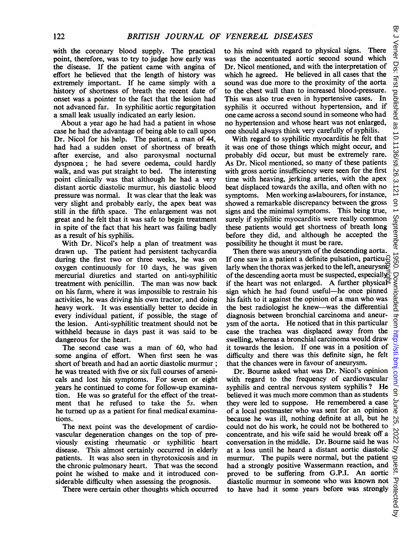with the coronary blood supply. The practical point, therefore, was to try to judge how early was the disease. If the patient came with angina of effort he believed that the length of history was extremely important. If he came simply with a history of shortness of breath the recent date of onset was a pointer to the fact that the lesion had not advanced far. In syphilitic aortic regurgitation a small leak usually indicated an early lesion.

About a year ago he had had a patient in whose case he had the advantage of being able to call upon Dr. Nicol for his help. The patient, a man of 44, had had a sudden onset of shortness of breath after exercise, and also paroxysmal nocturnal dyspnoea; he had severe oedema, could hardly walk, and was put straight to bed. The interesting point clinically was that although he had a very distant aortic diastolic murmur, his diastolic blood pressure was normal. It was clear that the leak was very slight and probably early, the apex beat was still in the fifth space. The enlargement was not great and he felt that it was safe to begin treatment in spite of the fact that his heart was failing badly as a result of his syphilis.

With Dr. Nicol's help a plan of treatment was drawn up. The patient had persistent tachycardia during the first two or three weeks, he was on oxygen continuously for 10 days, he was given mercurial diuretics and started on anti-syphilitic treatment with penicillin. The man was now back on his farm, where it was impossible to restrain his activities, he was driving his own tractor, and doing heavy work. It was essentially better to decide in every individual patient, if possible, the stage of the lesion. Anti-syphilitic treatment should not be withheld because in days past it was said to be dangerous for the heart.

The second case was a man of 60, who had some angina of effort. When first seen he was short of breath and had an aortic diastolic murmur; he was treated with five or six full courses of arsenicals and lost his symptoms. For seven or eight years he continued to come for follow-up examination. He was so grateful for the effect of the treatment that he refused to take the 5s. when he turned up as a patient for final medical examinations.

The next point was the development of cardiovascular degeneration changes on the top of previously existing rheumatic or syphilitic heart disease. This almost certainly occurred in elderly patients. It was also seen in thyrotoxicosis and in the chronic pulmonary heart. That was the second point he wished to make and it introduced considerable difficulty when assessing the prognosis.

There were certain other thoughts which occurred

to his mind with regard to physical signs. There was the accentuated aortic second sound which Dr. Nicol mentioned, and with the interpretation of which he agreed. He believed in all cases that the sound was due more to the proximity of the aorta to the chest wall than to increased blood-pressure. This was also true even in hypertensive cases. In syphilis it occurred without hypertension, and if one came across a second sound in someone who had no hypertension and whose heart was not enlarged, one should always think very carefully of syphilis.

With regard to syphilitic myocarditis he felt that it was one of those things which might occur, and probably did occur, but must be extremely rare. As Dr. Nicol mentioned, so many of these patients with gross aortic insufficiency were seen for the first time with heaving, jerking arteries, with the apex beat displaced towards the axilla, and often with no symptoms. Men working as-labourers, for instance, showed a remarkable discrepancy between the gross signs and the minimal symptoms. This being true, surely if syphilitic myocarditis were really common these patients would get shortness of breath long before they did, and although he accepted the possibility he thought it must be rare.

Then there was aneurysm of the descending aorta. If one saw in a patient a definite pulsation, particu- $\beta$ larly when the thorax was jerked to the left, aneurysm $\gtrsim$ If one saw in a patient a definite pulsation, particu  $\frac{1}{2}$ <br>larly when the thorax was jerked to the left, aneurysm<sup>2</sup><br>of the descending aorta must be suspected, especially<sup>2</sup><br>if the heart was not enlarged. A further p if the heart was not enlarged. A further physical sign which he had found useful-he once pinned his faith to it against the opinion of a man who was the best radiologist he knew-was the differential diagnosis between bronchial carcinoma and aneurysm of the aorta. He noticed that in this particular case the trachea was displaced away from the swelling, whereas <sup>a</sup> bronchial carcinoma would draw it towards the lesion. If one was in a position of difficulty and there was this definite sign, he felt that the chances were in favour of aneurysm.

Dr. Bourne asked what was Dr. Nicol's opinion with regard to the frequency of cardiovascular syphilis and central nervous system syphilis ? He believed it was much more common than as students they were led to suppose. He remembered a case of a local postmaster who was sent for an opinion because he was ill, nothing definite at all, but he could not do his work, he could not be bothered to concentrate, and his wife said he would break off a conversation in the middle. Dr. Bourne said he was at a loss until he heard a distant aortic diastolic murmur. The pupils were normal, but the patient  $\overrightarrow{Q}$ had a strongly positive Wassermann reaction, and proved to be suffering from G.P.I. An aortic diastolic murmur in someone who was known not to have had it some years before was strongly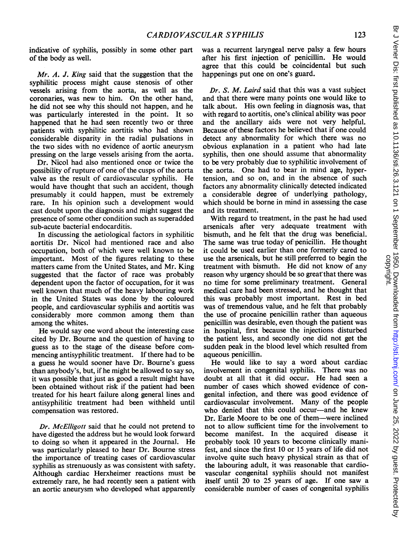indicative of syphilis, possibly in some other part of the body as well.

 $Mr. A. J. King said that the suggestion that the$ syphilitic process might cause stenosis of other vessels arising from the aorta, as well as the coronaries, was new to him. On the other hand, he did not see why this should not happen, and he was particularly interested in the point. It so happened that he had seen recently two or three patients with syphilitic aortitis who had shown considerable disparity in the radial pulsations in the two sides with no evidence of aortic aneurysm pressing on the large vessels arising from the aorta.

Dr. Nicol had also mentioned once or twice the possibility of rupture of one of the cusps of the aorta valve as the result of cardiovascular syphilis. He would have thought that such an accident, though presumably it could happen, must be extremely rare. In his opinion such a development would cast doubt upon the diagnosis and might suggest the presence of some other condition such as superadded sub-acute bacterial endocarditis.

In discussing the aetiological factors in syphilitic aortitis Dr. Nicol had mentioned race and also occupation, both of which were well known to be important. Most of the figures relating to these matters came from the United States, and Mr. King suggested that the factor of race was probably dependent upon the factor of occupation, for it was well known that much of the heavy labouring work in the United States was done by the coloured people, and cardiovascular syphilis and aortitis was considerably more common among them than among the whites.

He would say one word about the interesting case cited by Dr. Bourne and the question of having to guess as to the stage of the disease before commencing antisyphilitic treatment. If there had to be a guess he would sooner have Dr. Bourne's guess than anybody's, but, if he might be allowed to say so, it was possible that just as good a result might have been obtained without risk if the patient had been treated for his heart failure along general lines and antisyphilitic treatment had been withheld until compensation was restored.

Dr. McElligott said that he could not pretend to have digested the address but he would look forward to doing so when it appeared in the Journal. He was particularly pleased to hear Dr. Bourne stress the importance of treating cases of cardiovascular syphilis as strenuously as was consistent with safety. Although cardiac Herxheimer reactions must be extremely rare, he had recently seen a patient with an aortic aneurysm who developed what apparently was a recurrent laryngeal nerve palsy a few hours after his first injection of penicillin. He would agree that this could be coincidental but such happenings put one on one's guard.

Dr. S. M. Laird said that this was a vast subject and that there were many points one would like to talk about. His own feeling in diagnosis was, that with regard to aortitis, one's clinical ability was poor and the ancillary aids were not very helpful. Because of these factors he believed that if one could detect any abnormality for which there was no obvious explanation in a patient who had late syphilis, then one should assume that abnormality to be very probably due to syphilitic involvement of the aorta. One had to bear in mind age, hypertension, and so on, and in the absence of such factors any abnormality clinically detected indicated a considerable degree of underlying pathology, which should be borne in mind in assessing the case and its treatment.

With regard to treatment, in the past he had used arsenicals after very adequate treatment with bismuth, and he felt that the drug was beneficial. The same was true today of penicillin. He thought it could be used earlier than one formerly cared to use the arsenicals, but he still preferred to begin the treatment with bismuth. He did not know of any reason why urgency should be so great that there was no time for some preliminary treatment. General medical care had been stressed, and he thought that this was probably most important. Rest in bed was of tremendous value, and he felt that probably the use of procaine penicillin rather than aqueous penicillin was desirable, even though the patient was in hospital, first because the injections disturbed the patient less, and secondly one did not get the sudden peak in the blood level which resulted from aqueous penicillin.

He would like to say a word about cardiac involvement in congenital syphilis. There was no doubt at all that it did occur. He had seen a number of cases which showed evidence of congenital infection, and there was good evidence of cardiovascular involvement. Many of the people who denied that this could occur-and he knew Dr. Earle Moore to be one of them—were inclined not to allow sufficient time for the involvement to become manifest. In the acquired disease it probably took 10 years to become clinically manifest, and since the first 10 or 15 years of life did not involve quite such heavy physical strain as that of the labouring adult, it was reasonable that cardiovascular congenital syphilis should not manifest itself until 20 to 25 years of age. If one saw a considerable number of cases of congenital syphilis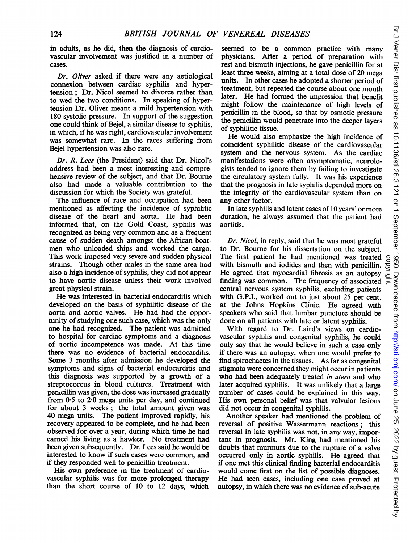in adults, as he did, then the diagnosis of cardiovascular involvement was justified in a number of cases.

Dr. Oliver asked if there were any aetiological connexion between cardiac syphilis and hypertension; Dr. Nicol seemed to divorce rather than to wed the two conditions. In speaking of hypertension Dr. Oliver meant a mild hypertension with 180 systolic pressure. In support of the suggestion one could think of Bejel, a similar disease to syphilis, in which, if he was right, cardiovascular involvement was somewhat rare. In the races suffering from Bejel hypertension was also rare.

Dr. R. Lees (the President) said that Dr. Nicol's address had been a most interesting and comprehensive review of the subject, and that Dr. Bourne also had made a valuable contribution to the discussion for which the Society was grateful.

The influence of race and occupation had been mentioned as affecting the incidence of syphilitic disease of the heart and aorta. He had been informed that, on the Gold Coast, syphilis was recognized as being very common and as a frequent cause of sudden death amongst the African boatmen who unloaded ships and worked the cargo. This work imposed very severe and sudden physical strains. Though other males in the same area had also a high incidence of syphilis, they did not appear to have aortic disease unless their work involved great physical strain.

He was interested in bacterial endocarditis which developed on the basis of syphilitic disease of the aorta and aortic valves. He had had the opportunity of studying one such case, which was the only one he had recognized. The patient was admitted to hospital for cardiac symptoms and a diagnosis of aortic incompetence was made. At this time there was no evidence of bacterial endocarditis. Some 3 months after admission he developed the symptoms and signs of bacterial endocarditis and this diagnosis was supported by a growth of a streptococcus in blood cultures. Treatment with penicillin was given, the dose was increased gradually from  $0.5$  to  $2.0$  mega units per day, and continued for about 3 weeks; the total amount given was 40 mega units. The patient improved rapidly, his recovery appeared to be complete, and he had been observed for over a year, during which time he had earned his living as a hawker. No treatment had been given subsequently. Dr. Lees said he would be interested to know if such cases were common, and if they responded well to penicillin treatment.

His own preference in the treatment of cardiovascular syphilis was for more prolonged therapy than the short course of 10 to 12 days, which

seemed to be a common practice with many physicians. After a period of preparation with rest and bismuth injections, he gave penicillin for at least three weeks, aiming at a total dose of 20 mega units. In other cases he adopted a shorter period of treatment, but repeated the course about one month later. He had formed the impression that benefit might follow the maintenance of high levels of penicillin in the blood, so that by osmotic pressure the penicillin would penetrate into the deeper layers of syphilitic tissue.

He would also emphasize the high incidence of coincident syphilitic disease of the cardiovascular system and the nervous system. As the cardiac manifestations were often asymptomatic, neurologists tended to ignore them by failing to investigate the circulatory system fully. It was his experience that the prognosis in late syphilis depended more on the integrity of the cardiovascular system than on any other factor.

In late syphilis and latent cases of 10 years' or more duration, he always assumed that the patient had aortitis.

Dr. Nicol, in reply, said that he was most grateful to Dr. Bourne for his dissertation on the subject. The first patient he had mentioned was treated with bismuth and iodides and then with penicillin. He agreed that myocardial fibrosis as an autopsy finding was common. The frequency of associated central nervous system syphilis, excluding patients with G.P.I., worked out to just about 25 per cent. at the Johns Hopkins Clinic. He agreed with speakers who said that lumbar puncture should be done on all patients with late or latent syphilis.

With regard to Dr. Laird's views on cardiovascular syphilis and congenital syphilis, he could only say that he would believe in such a case only if there was an autopsy, when one would prefer to find spirochaetes in the tissues. As far as congenital stigmata were concerned they might occur in patients who had been adequately treated in utero and who later acquired syphilis. It was unlikely that a large number of cases could be explained in this way. His own personal belief was that valvular lesions did not occur in congenital syphilis.

Another speaker had mentioned the problem of reversal of positive Wassermann reactions; this reversal in late syphilis was not, in any way, important in prognosis. Mr. King had mentioned his doubts that murmurs due to the rupture of a valve occurred only in aortic syphilis. He agreed that if one met this clinical finding bacterial endocarditis would come first on the list of possible diagnoses. He had seen cases, including one case proved at autopsy, in which there was no evidence of sub-acute